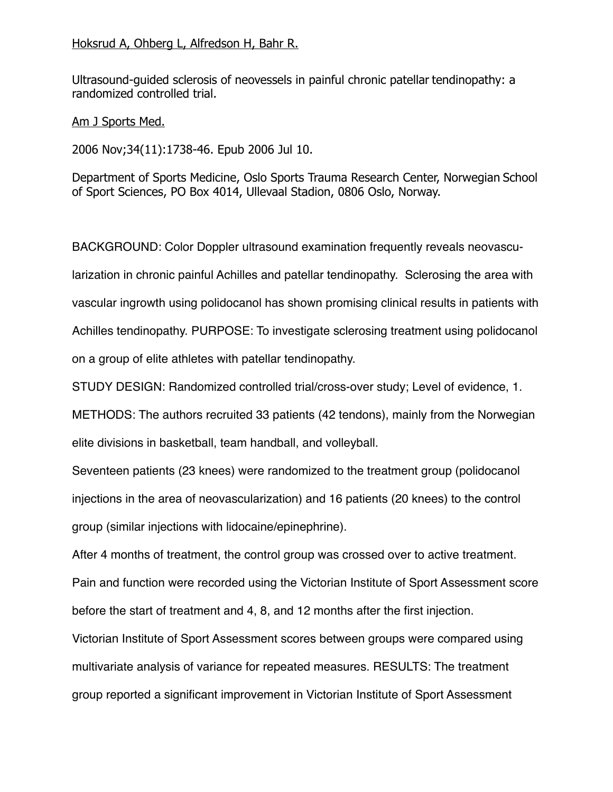## Hoksrud A, Ohberg L, Alfredson H, Bahr R.

Ultrasound-guided sclerosis of neovessels in painful chronic patellar tendinopathy: a randomized controlled trial.

Am J Sports Med.

2006 Nov;34(11):1738-46. Epub 2006 Jul 10.

Department of Sports Medicine, Oslo Sports Trauma Research Center, Norwegian School of Sport Sciences, PO Box 4014, Ullevaal Stadion, 0806 Oslo, Norway.

BACKGROUND: Color Doppler ultrasound examination frequently reveals neovascularization in chronic painful Achilles and patellar tendinopathy. Sclerosing the area with vascular ingrowth using polidocanol has shown promising clinical results in patients with Achilles tendinopathy. PURPOSE: To investigate sclerosing treatment using polidocanol on a group of elite athletes with patellar tendinopathy.

STUDY DESIGN: Randomized controlled trial/cross-over study; Level of evidence, 1.

METHODS: The authors recruited 33 patients (42 tendons), mainly from the Norwegian elite divisions in basketball, team handball, and volleyball.

Seventeen patients (23 knees) were randomized to the treatment group (polidocanol injections in the area of neovascularization) and 16 patients (20 knees) to the control group (similar injections with lidocaine/epinephrine).

After 4 months of treatment, the control group was crossed over to active treatment. Pain and function were recorded using the Victorian Institute of Sport Assessment score

Victorian Institute of Sport Assessment scores between groups were compared using multivariate analysis of variance for repeated measures. RESULTS: The treatment group reported a significant improvement in Victorian Institute of Sport Assessment

before the start of treatment and 4, 8, and 12 months after the first injection.